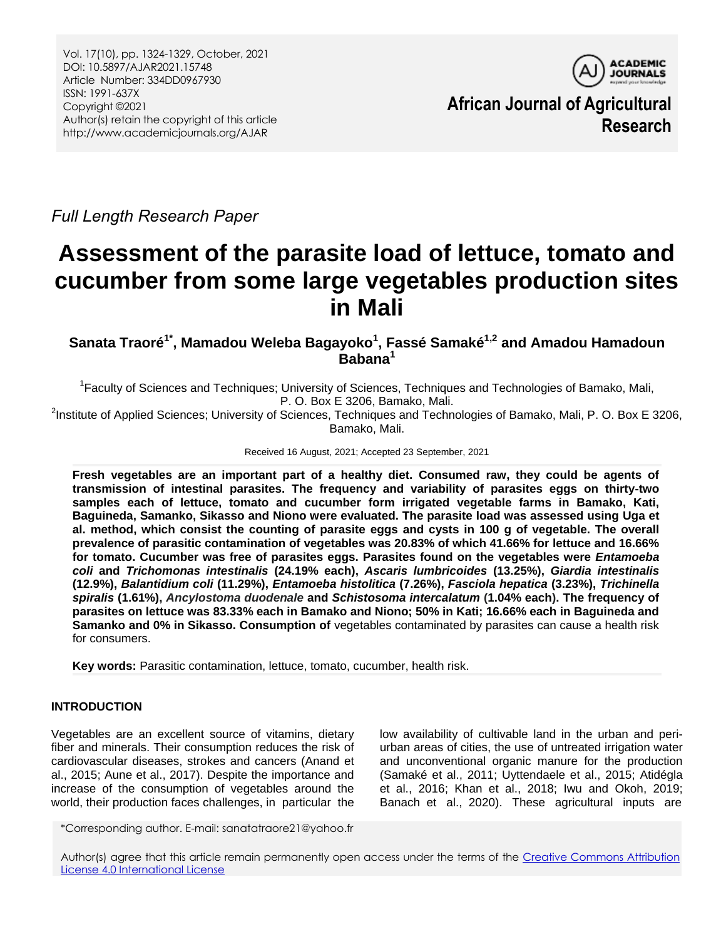

**African Journal of Agricultural Research**

*Full Length Research Paper*

# **Assessment of the parasite load of lettuce, tomato and cucumber from some large vegetables production sites in Mali**

## **Sanata Traoré1\* , Mamadou Weleba Bagayoko<sup>1</sup> , Fassé Samaké1,2 and Amadou Hamadoun Babana<sup>1</sup>**

<sup>1</sup> Faculty of Sciences and Techniques; University of Sciences, Techniques and Technologies of Bamako, Mali, P. O. Box E 3206, Bamako, Mali.

<sup>2</sup>Institute of Applied Sciences; University of Sciences, Techniques and Technologies of Bamako, Mali, P. O. Box E 3206, Bamako, Mali.

Received 16 August, 2021; Accepted 23 September, 2021

**Fresh vegetables are an important part of a healthy diet. Consumed raw, they could be agents of transmission of intestinal parasites. The frequency and variability of parasites eggs on thirty-two samples each of lettuce, tomato and cucumber form irrigated vegetable farms in Bamako, Kati, Baguineda, Samanko, Sikasso and Niono were evaluated. The parasite load was assessed using Uga et al. method, which consist the counting of parasite eggs and cysts in 100 g of vegetable. The overall prevalence of parasitic contamination of vegetables was 20.83% of which 41.66% for lettuce and 16.66% for tomato. Cucumber was free of parasites eggs. Parasites found on the vegetables were** *Entamoeba coli* **and** *Trichomonas intestinalis* **(24.19% each),** *Ascaris lumbricoides* **(13.25%),** *Giardia intestinalis*  **(12.9%),** *Balantidium coli* **(11.29%),** *Entamoeba histolitica* **(7.26%),** *Fasciola hepatica* **(3.23%),** *Trichinella spiralis* **(1.61%),** *Ancylostoma duodenale* **and** *Schistosoma intercalatum* **(1.04% each). The frequency of parasites on lettuce was 83.33% each in Bamako and Niono; 50% in Kati; 16.66% each in Baguineda and Samanko and 0% in Sikasso. Consumption of** vegetables contaminated by parasites can cause a health risk for consumers.

**Key words:** Parasitic contamination, lettuce, tomato, cucumber, health risk.

## **INTRODUCTION**

Vegetables are an excellent source of vitamins, dietary fiber and minerals. Their consumption reduces the risk of cardiovascular diseases, strokes and cancers (Anand et al., 2015; Aune et al., 2017). Despite the importance and increase of the consumption of vegetables around the world, their production faces challenges, in particular the low availability of cultivable land in the urban and periurban areas of cities, the use of untreated irrigation water and unconventional organic manure for the production (Samaké et al., 2011; Uyttendaele et al., 2015; Atidégla et al., 2016; Khan et al., 2018; Iwu and Okoh, 2019; Banach et al., 2020). These agricultural inputs are

\*Corresponding author. E-mail: sanatatraore21@yahoo.fr

Author(s) agree that this article remain permanently open access under the terms of the [Creative Commons Attribution](http://creativecommons.org/licenses/by/4.0/deed.en_US)  License [4.0 International License](http://creativecommons.org/licenses/by/4.0/deed.en_US)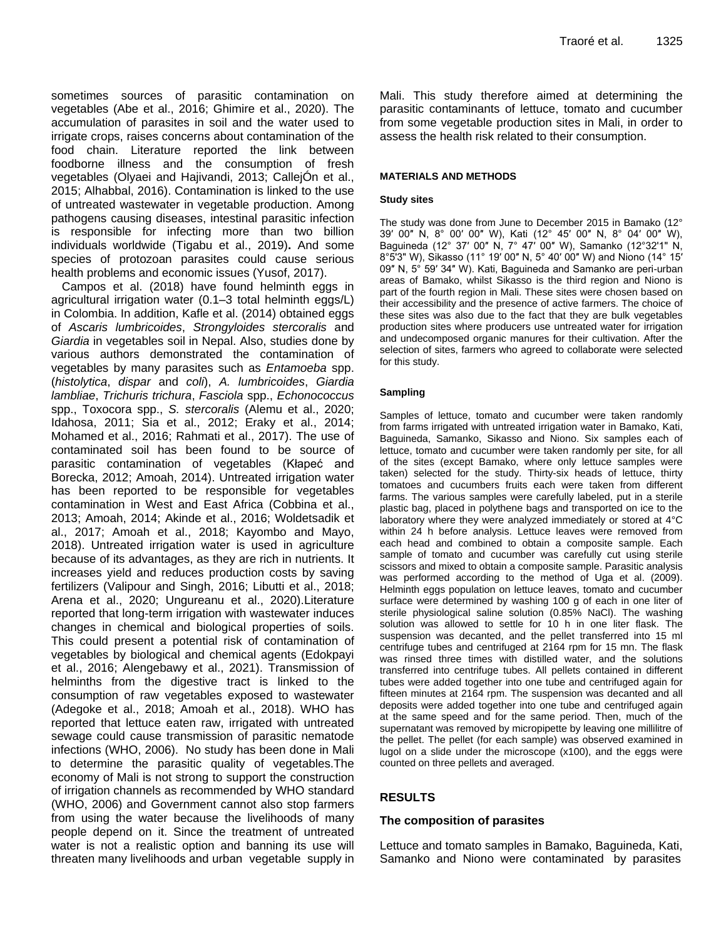sometimes sources of parasitic contamination on vegetables (Abe et al., 2016; Ghimire et al., 2020). The accumulation of parasites in soil and the water used to irrigate crops, raises concerns about contamination of the food chain. Literature reported the link between foodborne illness and the consumption of fresh vegetables (Olyaei and Hajivandi, 2013; CallejOn et al., 2015; Alhabbal, 2016). Contamination is linked to the use of untreated wastewater in vegetable production. Among pathogens causing diseases, intestinal parasitic infection is responsible for infecting more than two billion individuals worldwide (Tigabu et al., 2019)**.** And some species of protozoan parasites could cause serious health problems and economic issues (Yusof, 2017).

Campos et al. (2018) have found helminth eggs in agricultural irrigation water (0.1–3 total helminth eggs/L) in Colombia. In addition, Kafle et al. (2014) obtained eggs of *Ascaris lumbricoides*, *Strongyloides stercoralis* and *Giardia* in vegetables soil in Nepal. Also, studies done by various authors demonstrated the contamination of vegetables by many parasites such as *Entamoeba* spp. (*histolytica*, *dispar* and *coli*), *A. lumbricoides*, *Giardia lambliae*, *Trichuris trichura*, *Fasciola* spp., *Echonococcus* spp., Toxocora spp., *S. stercoralis* (Alemu et al., 2020; Idahosa, 2011; Sia et al., 2012; Eraky et al., 2014; Mohamed et al., 2016; Rahmati et al., 2017). The use of contaminated soil has been found to be source of parasitic contamination of vegetables (Kłapeć and Borecka, 2012; Amoah, 2014). Untreated irrigation water has been reported to be responsible for vegetables contamination in West and East Africa (Cobbina et al., 2013; Amoah, 2014; Akinde et al., 2016; Woldetsadik et al., 2017; Amoah et al., 2018; Kayombo and Mayo, 2018). Untreated irrigation water is used in agriculture because of its advantages, as they are rich in nutrients. It increases yield and reduces production costs by saving fertilizers (Valipour and Singh, 2016; Libutti et al., 2018; Arena et al., 2020; Ungureanu et al., 2020).Literature reported that long-term irrigation with wastewater induces changes in chemical and biological properties of soils. This could present a potential risk of contamination of vegetables by biological and chemical agents (Edokpayi et al., 2016; Alengebawy et al., 2021). Transmission of helminths from the digestive tract is linked to the consumption of raw vegetables exposed to wastewater (Adegoke et al., 2018; Amoah et al., 2018). WHO has reported that lettuce eaten raw, irrigated with untreated sewage could cause transmission of parasitic nematode infections (WHO, 2006). No study has been done in Mali to determine the parasitic quality of vegetables.The economy of Mali is not strong to support the construction of irrigation channels as recommended by WHO standard (WHO, 2006) and Government cannot also stop farmers from using the water because the livelihoods of many people depend on it. Since the treatment of untreated water is not a realistic option and banning its use will threaten many livelihoods and urban vegetable supply in

Mali. This study therefore aimed at determining the parasitic contaminants of lettuce, tomato and cucumber from some vegetable production sites in Mali, in order to assess the health risk related to their consumption.

#### **MATERIALS AND METHODS**

#### **Study sites**

The study was done from June to December 2015 in Bamako (12° 39′ 00″ N, 8° 00′ 00″ W), Kati (12° 45′ 00″ N, 8° 04′ 00″ W), Baguineda (12° 37′ 00″ N, 7° 47′ 00″ W), Samanko (12°32'1" N, 8°5'3" W), Sikasso (11° 19′ 00″ N, 5° 40′ 00″ W) and Niono (14° 15′ 09″ N, 5° 59′ 34″ W). Kati, Baguineda and Samanko are peri-urban areas of Bamako, whilst Sikasso is the third region and Niono is part of the fourth region in Mali. These sites were chosen based on their accessibility and the presence of active farmers. The choice of these sites was also due to the fact that they are bulk vegetables production sites where producers use untreated water for irrigation and undecomposed organic manures for their cultivation. After the selection of sites, farmers who agreed to collaborate were selected for this study.

#### **Sampling**

Samples of lettuce, tomato and cucumber were taken randomly from farms irrigated with untreated irrigation water in Bamako, Kati, Baguineda, Samanko, Sikasso and Niono. Six samples each of lettuce, tomato and cucumber were taken randomly per site, for all of the sites (except Bamako, where only lettuce samples were taken) selected for the study. Thirty-six heads of lettuce, thirty tomatoes and cucumbers fruits each were taken from different farms. The various samples were carefully labeled, put in a sterile plastic bag, placed in polythene bags and transported on ice to the laboratory where they were analyzed immediately or stored at 4°C within 24 h before analysis. Lettuce leaves were removed from each head and combined to obtain a composite sample. Each sample of tomato and cucumber was carefully cut using sterile scissors and mixed to obtain a composite sample. Parasitic analysis was performed according to the method of Uga et al. (2009). Helminth eggs population on lettuce leaves, tomato and cucumber surface were determined by washing 100 g of each in one liter of sterile physiological saline solution (0.85% NaCl). The washing solution was allowed to settle for 10 h in one liter flask. The suspension was decanted, and the pellet transferred into 15 ml centrifuge tubes and centrifuged at 2164 rpm for 15 mn. The flask was rinsed three times with distilled water, and the solutions transferred into centrifuge tubes. All pellets contained in different tubes were added together into one tube and centrifuged again for fifteen minutes at 2164 rpm. The suspension was decanted and all deposits were added together into one tube and centrifuged again at the same speed and for the same period. Then, much of the supernatant was removed by micropipette by leaving one millilitre of the pellet. The pellet (for each sample) was observed examined in lugol on a slide under the microscope (x100), and the eggs were counted on three pellets and averaged.

## **RESULTS**

#### **The composition of parasites**

Lettuce and tomato samples in Bamako, Baguineda, Kati, Samanko and Niono were contaminated by parasites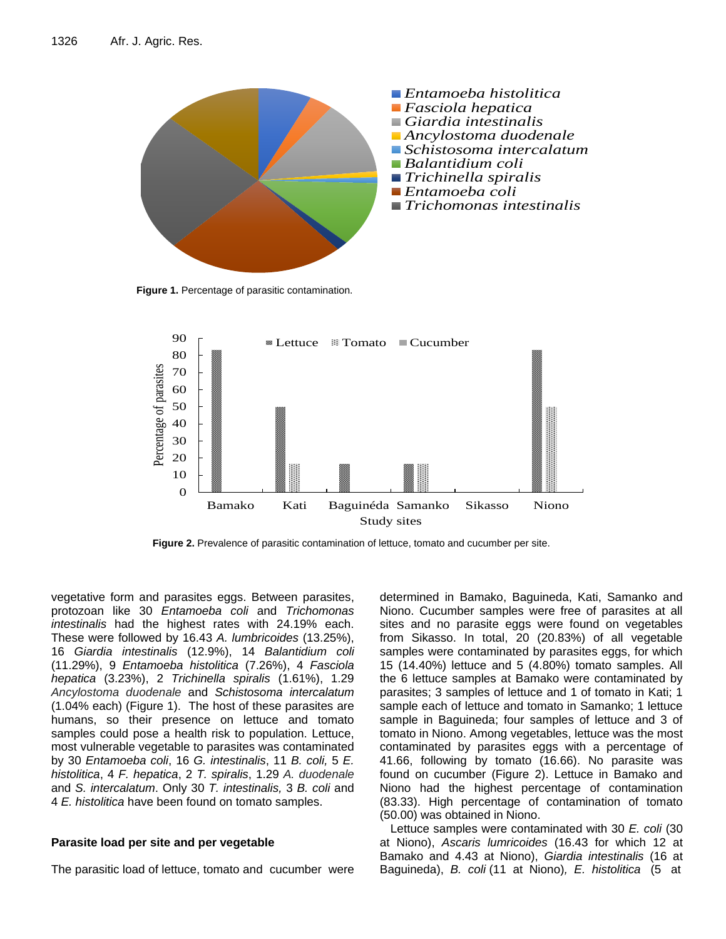

**Figure 1.** Percentage of parasitic contamination.



**Figure 2.** Prevalence of parasitic contamination of lettuce, tomato and cucumber per site.

vegetative form and parasites eggs. Between parasites, protozoan like 30 *Entamoeba coli* and *Trichomonas intestinalis* had the highest rates with 24.19% each. These were followed by 16.43 *A. lumbricoides* (13.25%), 16 *Giardia intestinalis* (12.9%), 14 *Balantidium coli* (11.29%), 9 *Entamoeba histolitica* (7.26%), 4 *Fasciola hepatica* (3.23%), 2 *Trichinella spiralis* (1.61%), 1.29 *Ancylostoma duodenale* and *Schistosoma intercalatum* (1.04% each) (Figure 1). The host of these parasites are humans, so their presence on lettuce and tomato samples could pose a health risk to population. Lettuce, most vulnerable vegetable to parasites was contaminated by 30 *Entamoeba coli*, 16 *G. intestinalis*, 11 *B. coli,* 5 *E. histolitica*, 4 *F. hepatica*, 2 *T. spiralis*, 1.29 *A. duodenale*  and *S. intercalatum*. Only 30 *T. intestinalis,* 3 *B. coli* and 4 *E. histolitica* have been found on tomato samples.

## **Parasite load per site and per vegetable**

The parasitic load of lettuce, tomato and cucumber were

determined in Bamako, Baguineda, Kati, Samanko and Niono. Cucumber samples were free of parasites at all sites and no parasite eggs were found on vegetables from Sikasso. In total, 20 (20.83%) of all vegetable samples were contaminated by parasites eggs, for which 15 (14.40%) lettuce and 5 (4.80%) tomato samples. All the 6 lettuce samples at Bamako were contaminated by parasites; 3 samples of lettuce and 1 of tomato in Kati; 1 sample each of lettuce and tomato in Samanko; 1 lettuce sample in Baguineda; four samples of lettuce and 3 of tomato in Niono. Among vegetables, lettuce was the most contaminated by parasites eggs with a percentage of 41.66, following by tomato (16.66). No parasite was found on cucumber (Figure 2). Lettuce in Bamako and Niono had the highest percentage of contamination (83.33). High percentage of contamination of tomato (50.00) was obtained in Niono.

Lettuce samples were contaminated with 30 *E. coli* (30 at Niono), *Ascaris lumricoides* (16.43 for which 12 at Bamako and 4.43 at Niono), *Giardia intestinalis* (16 at Baguineda), *B. coli* (11 at Niono)*, E. histolitica* (5 at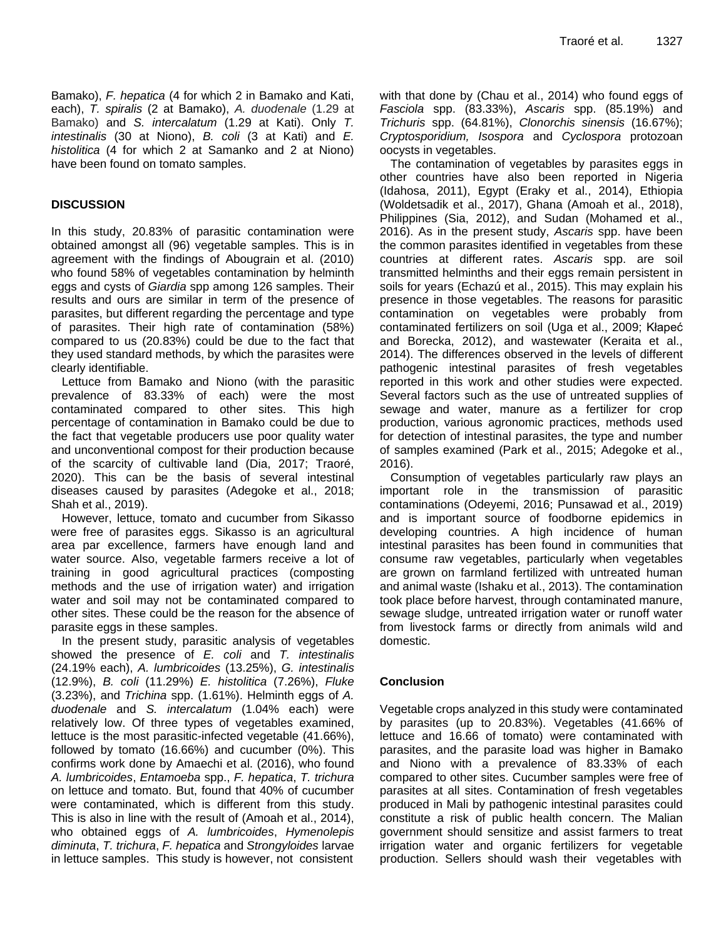Bamako), *F. hepatica* (4 for which 2 in Bamako and Kati, each), *T. spiralis* (2 at Bamako), *A. duodenale* (1.29 at Bamako) and *S. intercalatum* (1.29 at Kati). Only *T. intestinalis* (30 at Niono), *B. coli* (3 at Kati) and *E. histolitica* (4 for which 2 at Samanko and 2 at Niono) have been found on tomato samples.

## **DISCUSSION**

In this study, 20.83% of parasitic contamination were obtained amongst all (96) vegetable samples. This is in agreement with the findings of Abougrain et al. (2010) who found 58% of vegetables contamination by helminth eggs and cysts of *Giardia* spp among 126 samples. Their results and ours are similar in term of the presence of parasites, but different regarding the percentage and type of parasites. Their high rate of contamination (58%) compared to us (20.83%) could be due to the fact that they used standard methods, by which the parasites were clearly identifiable.

Lettuce from Bamako and Niono (with the parasitic prevalence of 83.33% of each) were the most contaminated compared to other sites. This high percentage of contamination in Bamako could be due to the fact that vegetable producers use poor quality water and unconventional compost for their production because of the scarcity of cultivable land (Dia, 2017; Traoré, 2020). This can be the basis of several intestinal diseases caused by parasites (Adegoke et al., 2018; Shah et al., 2019).

However, lettuce, tomato and cucumber from Sikasso were free of parasites eggs. Sikasso is an agricultural area par excellence, farmers have enough land and water source. Also, vegetable farmers receive a lot of training in good agricultural practices (composting methods and the use of irrigation water) and irrigation water and soil may not be contaminated compared to other sites. These could be the reason for the absence of parasite eggs in these samples.

In the present study, parasitic analysis of vegetables showed the presence of *E. coli* and *T. intestinalis* (24.19% each), *A. lumbricoides* (13.25%), *G. intestinalis* (12.9%), *B. coli* (11.29%) *E. histolitica* (7.26%), *Fluke*  (3.23%), and *Trichina* spp. (1.61%). Helminth eggs of *A. duodenale* and *S. intercalatum* (1.04% each) were relatively low. Of three types of vegetables examined, lettuce is the most parasitic-infected vegetable (41.66%), followed by tomato (16.66%) and cucumber (0%). This confirms work done by Amaechi et al. (2016), who found *A. lumbricoides*, *Entamoeba* spp., *F. hepatica*, *T. trichura* on lettuce and tomato. But, found that 40% of cucumber were contaminated, which is different from this study. This is also in line with the result of (Amoah et al., 2014), who obtained eggs of *A. lumbricoides*, *Hymenolepis diminuta*, *T. trichura*, *F. hepatica* and *Strongyloides* larvae in lettuce samples. This study is however, not consistent

with that done by (Chau et al., 2014) who found eggs of *Fasciola* spp. (83.33%), *Ascaris* spp. (85.19%) and *Trichuris* spp. (64.81%), *Clonorchis sinensis* (16.67%); *Cryptosporidium, Isospora* and *Cyclospora* protozoan oocysts in vegetables.

The contamination of vegetables by parasites eggs in other countries have also been reported in Nigeria (Idahosa, 2011), Egypt (Eraky et al., 2014), Ethiopia (Woldetsadik et al., 2017), Ghana (Amoah et al., 2018), Philippines (Sia, 2012), and Sudan (Mohamed et al., 2016). As in the present study, *Ascaris* spp. have been the common parasites identified in vegetables from these countries at different rates. *Ascaris* spp. are soil transmitted helminths and their eggs remain persistent in soils for years (Echazú et al., 2015). This may explain his presence in those vegetables. The reasons for parasitic contamination on vegetables were probably from contaminated fertilizers on soil (Uga et al., 2009; Kłapeć and Borecka, 2012), and wastewater (Keraita et al., 2014). The differences observed in the levels of different pathogenic intestinal parasites of fresh vegetables reported in this work and other studies were expected. Several factors such as the use of untreated supplies of sewage and water, manure as a fertilizer for crop production, various agronomic practices, methods used for detection of intestinal parasites, the type and number of samples examined (Park et al., 2015; Adegoke et al., 2016).

Consumption of vegetables particularly raw plays an important role in the transmission of parasitic contaminations (Odeyemi, 2016; Punsawad et al., 2019) and is important source of foodborne epidemics in developing countries. A high incidence of human intestinal parasites has been found in communities that consume raw vegetables, particularly when vegetables are grown on farmland fertilized with untreated human and animal waste (Ishaku et al., 2013). The contamination took place before harvest, through contaminated manure, sewage sludge, untreated irrigation water or runoff water from livestock farms or directly from animals wild and domestic.

## **Conclusion**

Vegetable crops analyzed in this study were contaminated by parasites (up to 20.83%). Vegetables (41.66% of lettuce and 16.66 of tomato) were contaminated with parasites, and the parasite load was higher in Bamako and Niono with a prevalence of 83.33% of each compared to other sites. Cucumber samples were free of parasites at all sites. Contamination of fresh vegetables produced in Mali by pathogenic intestinal parasites could constitute a risk of public health concern. The Malian government should sensitize and assist farmers to treat irrigation water and organic fertilizers for vegetable production. Sellers should wash their vegetables with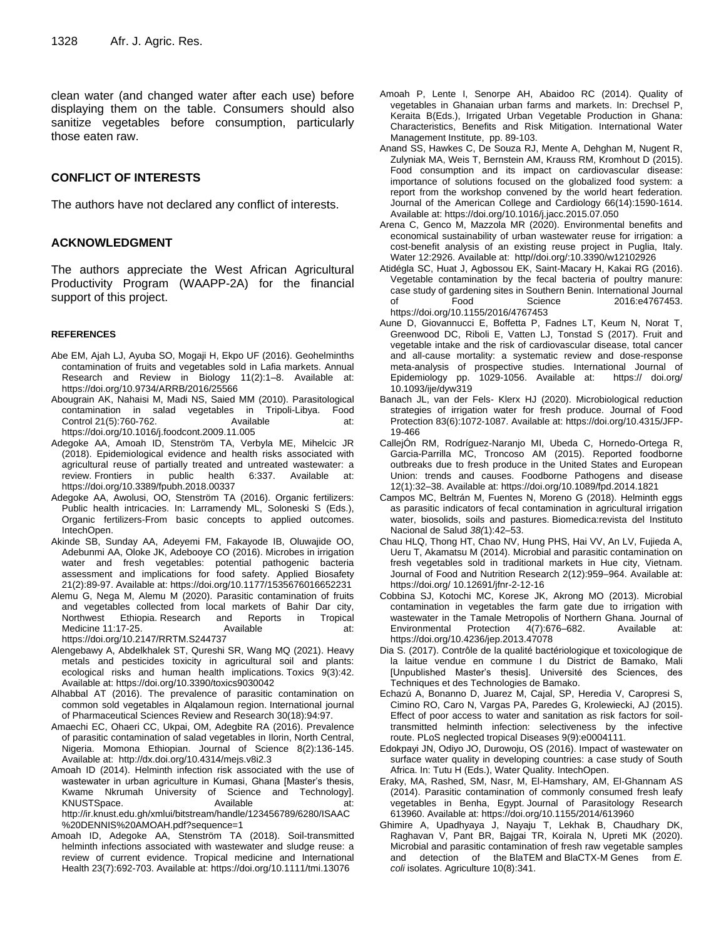clean water (and changed water after each use) before displaying them on the table. Consumers should also sanitize vegetables before consumption, particularly those eaten raw.

#### **CONFLICT OF INTERESTS**

The authors have not declared any conflict of interests.

#### **ACKNOWLEDGMENT**

The authors appreciate the West African Agricultural Productivity Program (WAAPP-2A) for the financial support of this project.

#### **REFERENCES**

- Abe EM, Ajah LJ, Ayuba SO, Mogaji H, Ekpo UF (2016). Geohelminths contamination of fruits and vegetables sold in Lafia markets. Annual Research and Review in Biology 11(2):1–8. Available at: https://doi.org/10.9734/ARRB/2016/25566
- [Abougrain](https://www.researchgate.net/scientific-contributions/Amal-Khalifa-Abougrain-72622357) AK, [Nahaisi](https://www.researchgate.net/profile/Mohamed-Nahaisi) M, [Madi](https://www.researchgate.net/scientific-contributions/NS-Madi-72403301) NS, [Saied](https://www.researchgate.net/scientific-contributions/Mohamed-Mohamed-Saied-72180444) MM (2010). Parasitological contamination in salad vegetables in Tripoli-Libya. [Food](https://www.researchgate.net/journal/Food-Control-0956-7135) [Control](https://www.researchgate.net/journal/Food-Control-0956-7135) 21(5):760-762. Available at: https://doi.org[/10.1016/j.foodcont.2009.11.005](http://dx.doi.org/10.1016/j.foodcont.2009.11.005)
- Adegoke AA, Amoah ID, Stenström TA, Verbyla ME, Mihelcic JR (2018). Epidemiological evidence and health risks associated with agricultural reuse of partially treated and untreated wastewater: a review. Frontiers in public health 6:337. Available at: https://doi.org/10.3389/fpubh.2018.00337
- Adegoke AA, Awolusi, OO, Stenström TA (2016). Organic fertilizers: Public health intricacies. In: Larramendy ML, Soloneski S (Eds.), Organic fertilizers-From basic concepts to applied outcomes. IntechOpen.
- Akinde SB, Sunday AA, Adeyemi FM, Fakayode IB, Oluwajide OO, Adebunmi AA, Oloke JK, Adebooye CO (2016). Microbes in irrigation water and fresh vegetables: potential pathogenic bacteria assessment and implications for food safety. Applied Biosafety 21(2):89-97. Available at: https://doi.org/10.1177/1535676016652231
- Alemu G, Nega M, Alemu M (2020). Parasitic contamination of fruits and vegetables collected from local markets of Bahir Dar city, Northwest Ethiopia. Research and Reports in Tropical Medicine 11:17-25. Available at: https://doi.org/10.2147/RRTM.S244737
- 
- Alengebawy A, Abdelkhalek ST, Qureshi SR, Wang MQ (2021). Heavy metals and pesticides toxicity in agricultural soil and plants: ecological risks and human health implications. Toxics 9(3):42. Available at: https://doi.org/10.3390/toxics9030042
- Alhabbal AT (2016). The prevalence of parasitic contamination on common sold vegetables in Alqalamoun region. International journal of Pharmaceutical Sciences Review and Research 30(18):94:97.
- Amaechi EC, Ohaeri CC, Ukpai, OM, Adegbite RA (2016). Prevalence of parasitic contamination of salad vegetables in Ilorin, North Central, Nigeria. Momona Ethiopian. Journal of Science 8(2):136-145. Available at: http://dx.doi.org/10.4314/mejs.v8i2.3
- Amoah ID (2014). Helminth infection risk associated with the use of wastewater in urban agriculture in Kumasi, Ghana [Master's thesis, Kwame Nkrumah University of Science and Technology]. KNUSTSpace. Available at: http://ir.knust.edu.gh/xmlui/bitstream/handle/123456789/6280/ISAAC %20DENNIS%20AMOAH.pdf?sequence=1
- Amoah ID, Adegoke AA, Stenström TA (2018). Soil-transmitted helminth infections associated with wastewater and sludge reuse: a review of current evidence. Tropical medicine and International Health 23(7):692-703. Available at: https://doi.org/10.1111/tmi.13076
- Amoah P, Lente I, Senorpe AH, Abaidoo RC (2014). Quality of vegetables in Ghanaian urban farms and markets. In: Drechsel P, Keraita B(Eds.), Irrigated Urban Vegetable Production in Ghana: Characteristics, Benefits and Risk Mitigation. International Water Management Institute, pp. 89-103.
- Anand SS, Hawkes C, De Souza RJ, Mente A, Dehghan M, Nugent R, Zulyniak MA, Weis T, Bernstein AM, Krauss RM, Kromhout D (2015). Food consumption and its impact on cardiovascular disease: importance of solutions focused on the globalized food system: a report from the workshop convened by the world heart federation. Journal of the American College and Cardiology 66(14):1590-1614. Available at: https://doi.org/10.1016/j.jacc.2015.07.050
- Arena C, Genco M, Mazzola MR (2020). Environmental benefits and economical sustainability of urban wastewater reuse for irrigation: a cost-benefit analysis of an existing reuse project in Puglia, Italy. Water 12:2926. Available at: http//doi.org/:10.3390/w12102926
- Atidégla SC, Huat J, Agbossou EK, Saint-Macary H, Kakai RG (2016). Vegetable contamination by the fecal bacteria of poultry manure: case study of gardening sites in Southern Benin. International Journal of Food Science 2016:e4767453. https://doi.org/10.1155/2016/4767453
- Aune D, Giovannucci E, Boffetta P, Fadnes LT, Keum N, Norat T, Greenwood DC, Riboli E, Vatten LJ, Tonstad S (2017). Fruit and vegetable intake and the risk of cardiovascular disease, total cancer and all-cause mortality: a systematic review and dose-response meta-analysis of prospective studies. International Journal of Epidemiology pp. 1029-1056. Available at: https:// doi.org/ 10.1093/ije/dyw319
- Banach JL, van der Fels- Klerx HJ (2020). Microbiological reduction strategies of irrigation water for fresh produce. Journal of Food Protection 83(6):1072-1087. Available at[: https://doi.org/10.4315/JFP-](https://doi.org/10.4315/JFP-19-466)[19-466](https://doi.org/10.4315/JFP-19-466)
- CallejÓn RM, Rodríguez-Naranjo MI, Ubeda C, Hornedo-Ortega R, Garcia-Parrilla MC, Troncoso AM (2015). Reported foodborne outbreaks due to fresh produce in the United States and European Union: trends and causes. Foodborne Pathogens and disease 12(1):32–38. Available at: https://doi.org/10.1089/fpd.2014.1821
- Campos MC, Beltrán M, Fuentes N, Moreno G (2018). Helminth eggs as parasitic indicators of fecal contamination in agricultural irrigation water, biosolids, soils and pastures. Biomedica:revista del Instituto Nacional de Salud *38(*1):42–53.
- Chau HLQ, Thong HT, Chao NV, Hung PHS, Hai VV, An LV, Fujieda A, Ueru T, Akamatsu M (2014). Microbial and parasitic contamination on fresh vegetables sold in traditional markets in Hue city, Vietnam. Journal of Food and Nutrition Research 2(12):959–964. Available at: https://doi.org/ 10.12691/jfnr-2-12-16
- Cobbina SJ, Kotochi MC, Korese JK, Akrong MO (2013). Microbial contamination in vegetables the farm gate due to irrigation with wastewater in the Tamale Metropolis of Northern Ghana. Journal of Environmental Protection 4(7):676–682. [Available at:](https://doi.org/10.4236/jep.2013.47078)  <https://doi.org/10.4236/jep.2013.47078>
- Dia S. (2017). Contrôle de la qualité bactériologique et toxicologique de la laitue vendue en commune I du District de Bamako, Mali [Unpublished Master's thesis]. Université des Sciences, des Techniques et des Technologies de Bamako.
- Echazú A, Bonanno D, Juarez M, Cajal, SP, Heredia V, Caropresi S, Cimino RO, Caro N, Vargas PA, Paredes G, Krolewiecki, AJ (2015). Effect of poor access to water and sanitation as risk factors for soiltransmitted helminth infection: selectiveness by the infective route. PLoS neglected tropical Diseases 9(9):e0004111.
- Edokpayi JN, Odiyo JO, Durowoju, OS (2016). Impact of wastewater on surface water quality in developing countries: a case study of South Africa. In: Tutu H (Eds.), Water Quality. IntechOpen.
- Eraky, MA, Rashed, SM, Nasr, M, El-Hamshary, AM, El-Ghannam AS (2014). Parasitic contamination of commonly consumed fresh leafy vegetables in Benha, Egypt. Journal of Parasitology Research 613960. Available at: https://doi.org/10.1155/2014/613960
- Ghimire A, Upadhyaya J, Nayaju T, Lekhak B, Chaudhary DK, Raghavan V, Pant BR, Bajgai TR, Koirala N, Upreti MK (2020). Microbial and parasitic contamination of fresh raw vegetable samples and detection of the BlaTEM and BlaCTX-M Genes from *E. coli* isolates. Agriculture 10(8):341.